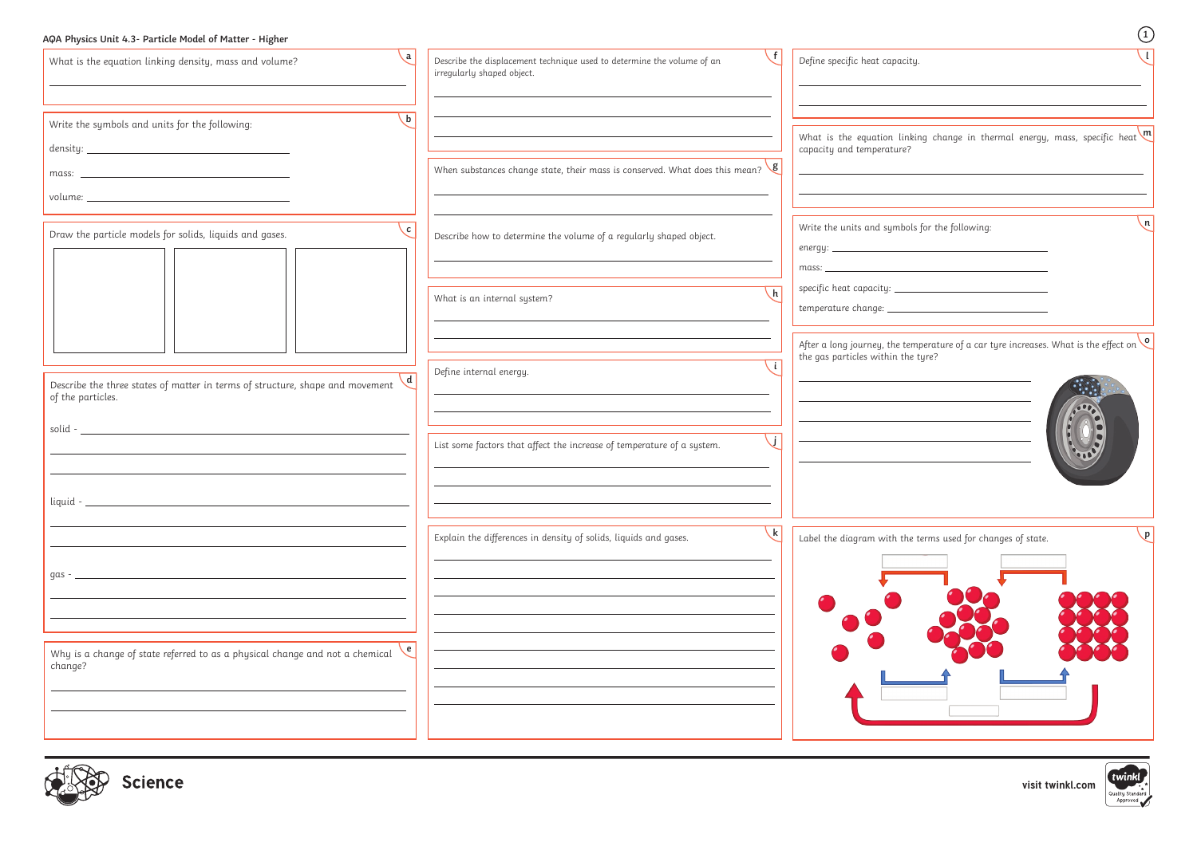# **AQA Physics Unit 4.3- Particle Model of Matter - Higher <sup>1</sup>**

| $\mathbf{a}$<br>What is the equation linking density, mass and volume?                                                                                                                                                                                                                                                                                                                                                                                                             | Describe the displacement technique used to determine the volume of an<br>irregularly shaped object. | Define specific heat capacity.                                                                                                                                                                |
|------------------------------------------------------------------------------------------------------------------------------------------------------------------------------------------------------------------------------------------------------------------------------------------------------------------------------------------------------------------------------------------------------------------------------------------------------------------------------------|------------------------------------------------------------------------------------------------------|-----------------------------------------------------------------------------------------------------------------------------------------------------------------------------------------------|
| $\mathbf{b}$<br>Write the symbols and units for the following:<br>$density: \begin{tabular}{@{}c@{\hspace{1em}}l} \hline \rule{0.2cm}{0.2cm} & \rule{0.2cm}{0.2cm} & \rule{0.2cm}{0.2cm} & \rule{0.2cm}{0.2cm} & \rule{0.2cm}{0.2cm} & \rule{0.2cm}{0.2cm} & \rule{0.2cm}{0.2cm} & \rule{0.2cm}{0.2cm} & \rule{0.2cm}{0.2cm} & \rule{0.2cm}{0.2cm} & \rule{0.2cm}{0.2cm} & \rule{0.2cm}{0.2cm} & \rule{0.2cm}{0.2cm} & \rule{0.2cm}{0.2cm} &$<br>mass: $\overline{\qquad \qquad }$ | When substances change state, their mass is conserved. What does this mean? $\sqrt{g}$               | What is the equation linking change in thermal energy, mass, specific heat $\mathfrak{m}$<br>capacity and temperature?                                                                        |
| $\begin{minipage}{.4\linewidth} \textit{volume:}\footnotesize \begin{tabular}{ l l } \hline \textit{volume:}\footnotesize \end{tabular} \end{minipage}$<br>$\mathbf{c}$<br>Draw the particle models for solids, liquids and gases.                                                                                                                                                                                                                                                 | Describe how to determine the volume of a regularly shaped object.                                   | $\mathsf{n}$<br>Write the units and symbols for the following:                                                                                                                                |
|                                                                                                                                                                                                                                                                                                                                                                                                                                                                                    | h<br>What is an internal system?                                                                     | $\textit{specific heat capacity:}\underbrace{\hspace{2.5cm}}_{\textit{1.15}}\hspace{2.5cm}\underbrace{\hspace{2.5cm}}_{\textit{2.2}}\hspace{2.5cm}\underbrace{\hspace{2.5cm}}_{\textit{3.3}}$ |
| Describe the three states of matter in terms of structure, shape and movement<br>of the particles.                                                                                                                                                                                                                                                                                                                                                                                 | Define internal energy.                                                                              | After a long journey, the temperature of a car tyre increases. What is the effect on $\circ$<br>the gas particles within the tyre?                                                            |
|                                                                                                                                                                                                                                                                                                                                                                                                                                                                                    | List some factors that affect the increase of temperature of a system.                               | 000                                                                                                                                                                                           |
| liquid - _                                                                                                                                                                                                                                                                                                                                                                                                                                                                         | Explain the differences in density of solids, liquids and gases.                                     | Label the diagram with the terms used for changes of state.                                                                                                                                   |
| gas $-$                                                                                                                                                                                                                                                                                                                                                                                                                                                                            |                                                                                                      |                                                                                                                                                                                               |
| Why is a change of state referred to as a physical change and not a chemical<br>change?                                                                                                                                                                                                                                                                                                                                                                                            |                                                                                                      |                                                                                                                                                                                               |
| icience                                                                                                                                                                                                                                                                                                                                                                                                                                                                            |                                                                                                      | twinkl <u>,</u><br>visit twinkl.com<br>Quality Standard                                                                                                                                       |

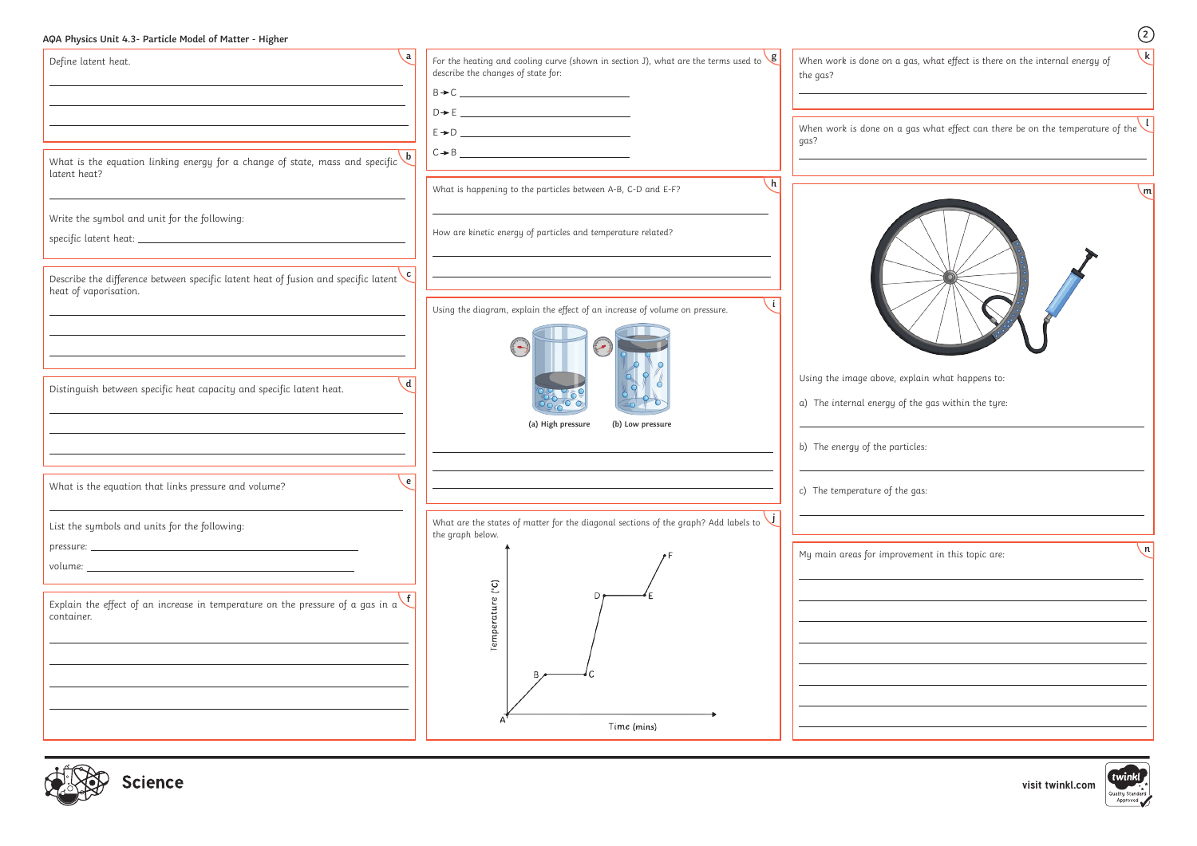**visit twinkl.com**

Quality Standard

| Define latent heat.                                                                                                                                                                                                                                                                                                                                                     | . a<br>For the heating and cooling curve (shown in section J), what are the terms used to $\frac{g}{g}$ | $\setminus$ k $\mid$<br>When work is done on a gas, what effect is there on the internal energy of    |
|-------------------------------------------------------------------------------------------------------------------------------------------------------------------------------------------------------------------------------------------------------------------------------------------------------------------------------------------------------------------------|---------------------------------------------------------------------------------------------------------|-------------------------------------------------------------------------------------------------------|
|                                                                                                                                                                                                                                                                                                                                                                         | describe the changes of state for:                                                                      | the gas?                                                                                              |
|                                                                                                                                                                                                                                                                                                                                                                         | $B \rightarrow C$                                                                                       |                                                                                                       |
|                                                                                                                                                                                                                                                                                                                                                                         | $D \rightarrow E$                                                                                       |                                                                                                       |
|                                                                                                                                                                                                                                                                                                                                                                         |                                                                                                         | When work is done on a gas what effect can there be on the temperature of the $\vee$<br>gas?          |
| What is the equation linking energy for a change of state, mass and specific $\mathbf{b}$<br>latent heat?                                                                                                                                                                                                                                                               |                                                                                                         |                                                                                                       |
|                                                                                                                                                                                                                                                                                                                                                                         | $\lfloor h \rfloor$<br>What is happening to the particles between A-B, C-D and E-F?                     | ∖m∣                                                                                                   |
| Write the symbol and unit for the following:                                                                                                                                                                                                                                                                                                                            | How are kinetic energy of particles and temperature related?                                            |                                                                                                       |
| Describe the difference between specific latent heat of fusion and specific latent $\mathbf{c}$                                                                                                                                                                                                                                                                         |                                                                                                         |                                                                                                       |
| heat of vaporisation.                                                                                                                                                                                                                                                                                                                                                   | Using the diagram, explain the effect of an increase of volume on pressure.                             |                                                                                                       |
|                                                                                                                                                                                                                                                                                                                                                                         | $\left(\begin{array}{c} \text{ } \\ \text{ } \\ \text{ } \end{array}\right)$                            |                                                                                                       |
| $\mathbf d$<br>Distinguish between specific heat capacity and specific latent heat.                                                                                                                                                                                                                                                                                     |                                                                                                         | Using the image above, explain what happens to:<br>a) The internal energy of the gas within the tyre: |
|                                                                                                                                                                                                                                                                                                                                                                         | (a) High pressure<br>(b) Low pressure                                                                   |                                                                                                       |
|                                                                                                                                                                                                                                                                                                                                                                         |                                                                                                         | b) The energy of the particles:                                                                       |
| What is the equation that links pressure and volume?                                                                                                                                                                                                                                                                                                                    | e                                                                                                       | c) The temperature of the gas:                                                                        |
| List the symbols and units for the following:                                                                                                                                                                                                                                                                                                                           | What are the states of matter for the diagonal sections of the graph? Add labels to<br>the graph below. |                                                                                                       |
| $volume: \begin{tabular}{ c c c c } \hline \rule{0.3cm}{.0cm} \rule{0.3cm}{.0cm} \rule{0.3cm}{.0cm} \rule{0.3cm}{.0cm} \rule{0.3cm}{.0cm} \rule{0.3cm}{.0cm} \rule{0.3cm}{.0cm} \rule{0.3cm}{.0cm} \rule{0.3cm}{.0cm} \rule{0.3cm}{.0cm} \rule{0.3cm}{.0cm} \rule{0.3cm}{.0cm} \rule{0.3cm}{.0cm} \rule{0.3cm}{.0cm} \rule{0.3cm}{.0cm} \rule{0.3cm}{.0cm} \rule{0.3cm$ |                                                                                                         | $\lfloor n \rfloor$<br>My main areas for improvement in this topic are:                               |
| Explain the effect of an increase in temperature on the pressure of a gas in a<br>container.                                                                                                                                                                                                                                                                            | $\binom{0}{2}$<br>Temper                                                                                |                                                                                                       |
|                                                                                                                                                                                                                                                                                                                                                                         |                                                                                                         |                                                                                                       |
|                                                                                                                                                                                                                                                                                                                                                                         | Time (mins)                                                                                             |                                                                                                       |

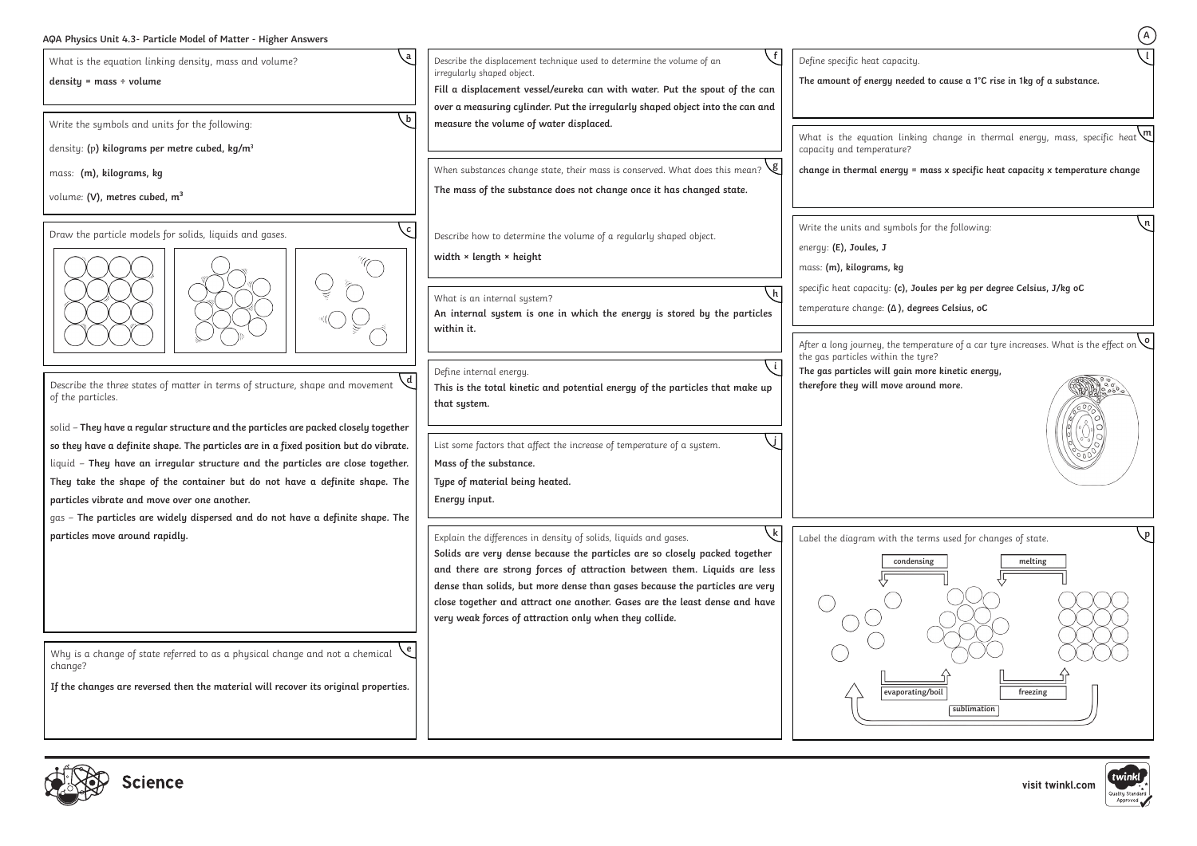## **AQA Physics Unit 4.3- Particle Model of Matter - Higher Answers**